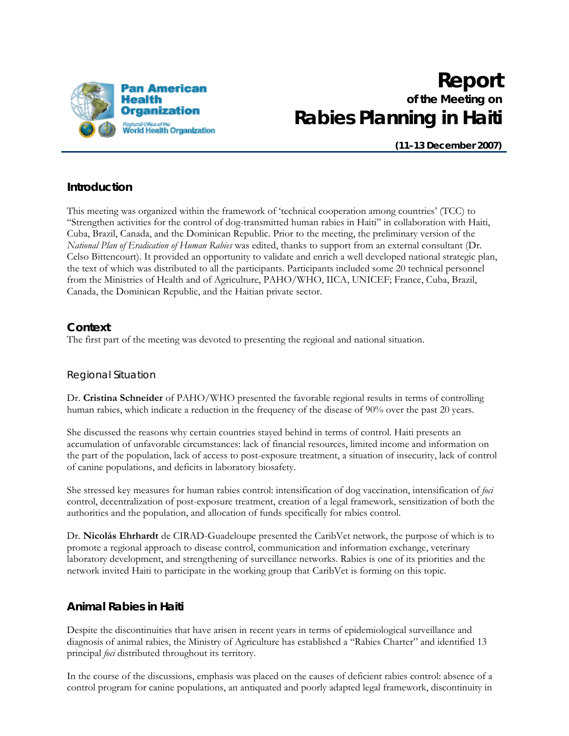

# **Report of the Meeting on Rabies Planning in Haiti**

**(11–13 December 2007)** 

# **Introduction**

This meeting was organized within the framework of 'technical cooperation among countries' (TCC) to "Strengthen activities for the control of dog-transmitted human rabies in Haiti" in collaboration with Haiti, Cuba, Brazil, Canada, and the Dominican Republic. Prior to the meeting, the preliminary version of the *National Plan of Eradication of Human Rabies* was edited, thanks to support from an external consultant (Dr. Celso Bittencourt). It provided an opportunity to validate and enrich a well developed national strategic plan, the text of which was distributed to all the participants. Participants included some 20 technical personnel from the Ministries of Health and of Agriculture, PAHO/WHO, IICA, UNICEF; France, Cuba, Brazil, Canada, the Dominican Republic, and the Haitian private sector.

# **Context**

The first part of the meeting was devoted to presenting the regional and national situation.

## Regional Situation

Dr. **Cristina Schneider** of PAHO/WHO presented the favorable regional results in terms of controlling human rabies, which indicate a reduction in the frequency of the disease of 90% over the past 20 years.

She discussed the reasons why certain countries stayed behind in terms of control. Haiti presents an accumulation of unfavorable circumstances: lack of financial resources, limited income and information on the part of the population, lack of access to post-exposure treatment, a situation of insecurity, lack of control of canine populations, and deficits in laboratory biosafety.

She stressed key measures for human rabies control: intensification of dog vaccination, intensification of *foci* control, decentralization of post-exposure treatment, creation of a legal framework, sensitization of both the authorities and the population, and allocation of funds specifically for rabies control.

Dr. **Nicolás Ehrhardt** de CIRAD-Guadeloupe presented the CaribVet network, the purpose of which is to promote a regional approach to disease control, communication and information exchange, veterinary laboratory development, and strengthening of surveillance networks. Rabies is one of its priorities and the network invited Haiti to participate in the working group that CaribVet is forming on this topic.

# **Animal Rabies in Haiti**

Despite the discontinuities that have arisen in recent years in terms of epidemiological surveillance and diagnosis of animal rabies, the Ministry of Agriculture has established a "Rabies Charter" and identified 13 principal *foci* distributed throughout its territory.

In the course of the discussions, emphasis was placed on the causes of deficient rabies control: absence of a control program for canine populations, an antiquated and poorly adapted legal framework, discontinuity in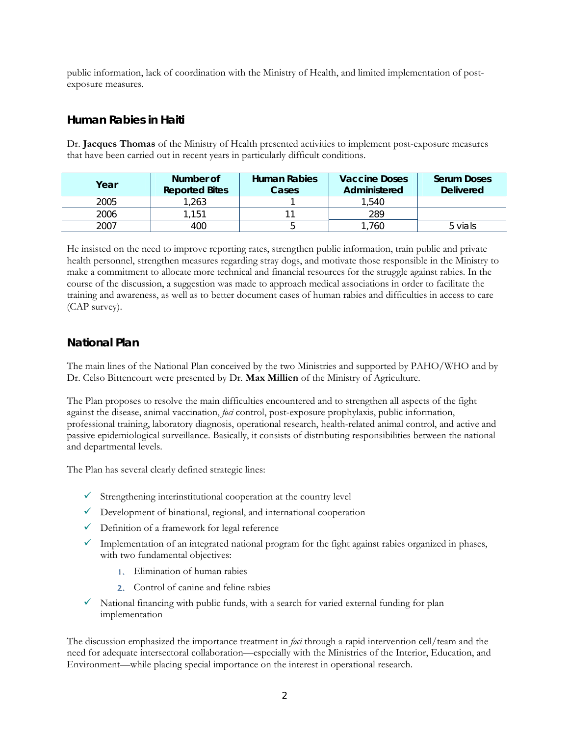public information, lack of coordination with the Ministry of Health, and limited implementation of postexposure measures.

## **Human Rabies in Haiti**

Dr. **Jacques Thomas** of the Ministry of Health presented activities to implement post-exposure measures that have been carried out in recent years in particularly difficult conditions.

| Year | Number of<br><b>Reported Bites</b> | <b>Human Rabies</b><br>Cases | <b>Vaccine Doses</b><br>Administered | <b>Serum Doses</b><br><b>Delivered</b> |
|------|------------------------------------|------------------------------|--------------------------------------|----------------------------------------|
| 2005 | .263                               |                              | 1,540                                |                                        |
| 2006 | .151                               |                              | 289                                  |                                        |
| 2007 | 400                                |                              | .760                                 | 5 vials                                |

He insisted on the need to improve reporting rates, strengthen public information, train public and private health personnel, strengthen measures regarding stray dogs, and motivate those responsible in the Ministry to make a commitment to allocate more technical and financial resources for the struggle against rabies. In the course of the discussion, a suggestion was made to approach medical associations in order to facilitate the training and awareness, as well as to better document cases of human rabies and difficulties in access to care (CAP survey).

# **National Plan**

The main lines of the National Plan conceived by the two Ministries and supported by PAHO/WHO and by Dr. Celso Bittencourt were presented by Dr. **Max Millien** of the Ministry of Agriculture.

The Plan proposes to resolve the main difficulties encountered and to strengthen all aspects of the fight against the disease, animal vaccination, *foci* control, post-exposure prophylaxis, public information, professional training, laboratory diagnosis, operational research, health-related animal control, and active and passive epidemiological surveillance. Basically, it consists of distributing responsibilities between the national and departmental levels.

The Plan has several clearly defined strategic lines:

- $\checkmark$  Strengthening interinstitutional cooperation at the country level
- $\checkmark$  Development of binational, regional, and international cooperation
- $\checkmark$  Definition of a framework for legal reference
- $\checkmark$  Implementation of an integrated national program for the fight against rabies organized in phases, with two fundamental objectives:
	- 1. Elimination of human rabies
	- 2. Control of canine and feline rabies
- $\checkmark$  National financing with public funds, with a search for varied external funding for plan implementation

The discussion emphasized the importance treatment in *foci* through a rapid intervention cell/team and the need for adequate intersectoral collaboration—especially with the Ministries of the Interior, Education, and Environment—while placing special importance on the interest in operational research.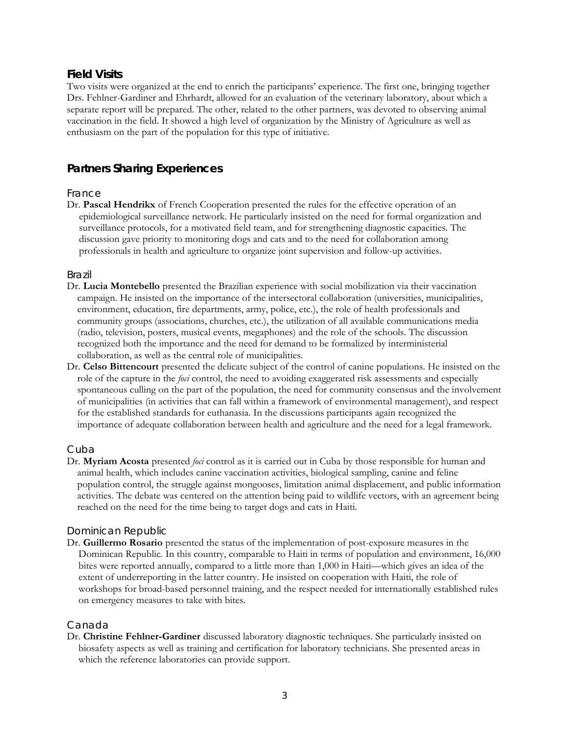# **Field Visits**

Two visits were organized at the end to enrich the participants' experience. The first one, bringing together Drs. Fehlner-Gardiner and Ehrhardt, allowed for an evaluation of the veterinary laboratory, about which a separate report will be prepared. The other, related to the other partners, was devoted to observing animal vaccination in the field. It showed a high level of organization by the Ministry of Agriculture as well as enthusiasm on the part of the population for this type of initiative.

# **Partners Sharing Experiences**

#### France

Dr. **Pascal Hendrikx** of French Cooperation presented the rules for the effective operation of an epidemiological surveillance network. He particularly insisted on the need for formal organization and surveillance protocols, for a motivated field team, and for strengthening diagnostic capacities. The discussion gave priority to monitoring dogs and cats and to the need for collaboration among professionals in health and agriculture to organize joint supervision and follow-up activities.

#### Brazil

- Dr. **Lucia Montebello** presented the Brazilian experience with social mobilization via their vaccination campaign. He insisted on the importance of the intersectoral collaboration (universities, municipalities, environment, education, fire departments, army, police, etc.), the role of health professionals and community groups (associations, churches, etc.), the utilization of all available communications media (radio, television, posters, musical events, megaphones) and the role of the schools. The discussion recognized both the importance and the need for demand to be formalized by interministerial collaboration, as well as the central role of municipalities.
- Dr. **Celso Bittencourt** presented the delicate subject of the control of canine populations. He insisted on the role of the capture in the *foci* control, the need to avoiding exaggerated risk assessments and especially spontaneous culling on the part of the population, the need for community consensus and the involvement of municipalities (in activities that can fall within a framework of environmental management), and respect for the established standards for euthanasia. In the discussions participants again recognized the importance of adequate collaboration between health and agriculture and the need for a legal framework.

#### Cuba

Dr. **Myriam Acosta** presented *foci* control as it is carried out in Cuba by those responsible for human and animal health, which includes canine vaccination activities, biological sampling, canine and feline population control, the struggle against mongooses, limitation animal displacement, and public information activities. The debate was centered on the attention being paid to wildlife vectors, with an agreement being reached on the need for the time being to target dogs and cats in Haiti.

#### Dominican Republic

Dr. **Guillermo Rosario** presented the status of the implementation of post-exposure measures in the Dominican Republic. In this country, comparable to Haiti in terms of population and environment, 16,000 bites were reported annually, compared to a little more than 1,000 in Haiti—which gives an idea of the extent of underreporting in the latter country. He insisted on cooperation with Haiti, the role of workshops for broad-based personnel training, and the respect needed for internationally established rules on emergency measures to take with bites.

#### Canada

Dr. **Christine Fehlner-Gardiner** discussed laboratory diagnostic techniques. She particularly insisted on biosafety aspects as well as training and certification for laboratory technicians. She presented areas in which the reference laboratories can provide support.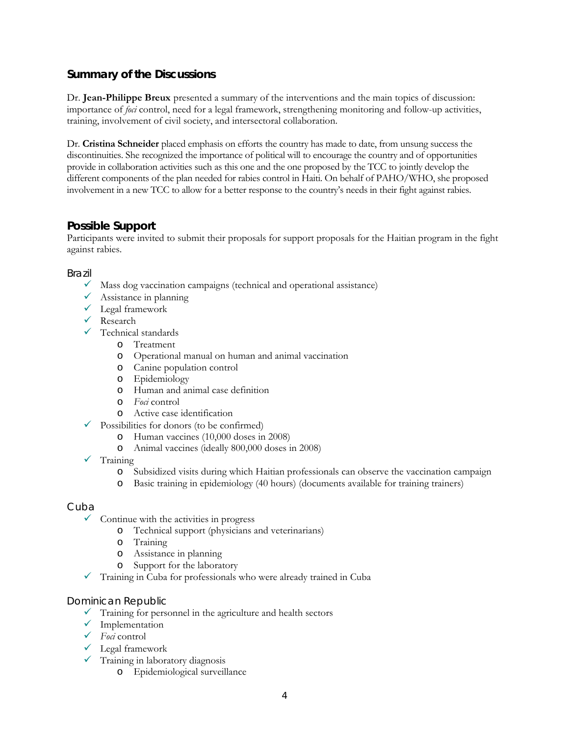# **Summary of the Discussions**

Dr. **Jean-Philippe Breux** presented a summary of the interventions and the main topics of discussion: importance of *foci* control, need for a legal framework, strengthening monitoring and follow-up activities, training, involvement of civil society, and intersectoral collaboration.

Dr. **Cristina Schneider** placed emphasis on efforts the country has made to date, from unsung success the discontinuities. She recognized the importance of political will to encourage the country and of opportunities provide in collaboration activities such as this one and the one proposed by the TCC to jointly develop the different components of the plan needed for rabies control in Haiti. On behalf of PAHO/WHO, she proposed involvement in a new TCC to allow for a better response to the country's needs in their fight against rabies.

# **Possible Support**

Participants were invited to submit their proposals for support proposals for the Haitian program in the fight against rabies.

## Brazil

- $\checkmark$  Mass dog vaccination campaigns (technical and operational assistance)
- $\checkmark$  Assistance in planning
- $\checkmark$  Legal framework
- $\checkmark$  Research
- $\checkmark$  Technical standards
	- o Treatment
	- o Operational manual on human and animal vaccination
	- o Canine population control
	- o Epidemiology
	- o Human and animal case definition
	- o *Foci* control
	- o Active case identification
- $\checkmark$  Possibilities for donors (to be confirmed)
	- o Human vaccines (10,000 doses in 2008)
	- o Animal vaccines (ideally 800,000 doses in 2008)
- $\checkmark$  Training
	- o Subsidized visits during which Haitian professionals can observe the vaccination campaign
	- o Basic training in epidemiology (40 hours) (documents available for training trainers)

## Cuba

- $\checkmark$  Continue with the activities in progress
	- o Technical support (physicians and veterinarians)
	- o Training
	- o Assistance in planning
	- o Support for the laboratory
- $\checkmark$  Training in Cuba for professionals who were already trained in Cuba

## Dominican Republic

- $\checkmark$  Training for personnel in the agriculture and health sectors
- $\checkmark$  Implementation
- 9 *Foci* control
- $\checkmark$  Legal framework
- $\checkmark$  Training in laboratory diagnosis
	- o Epidemiological surveillance